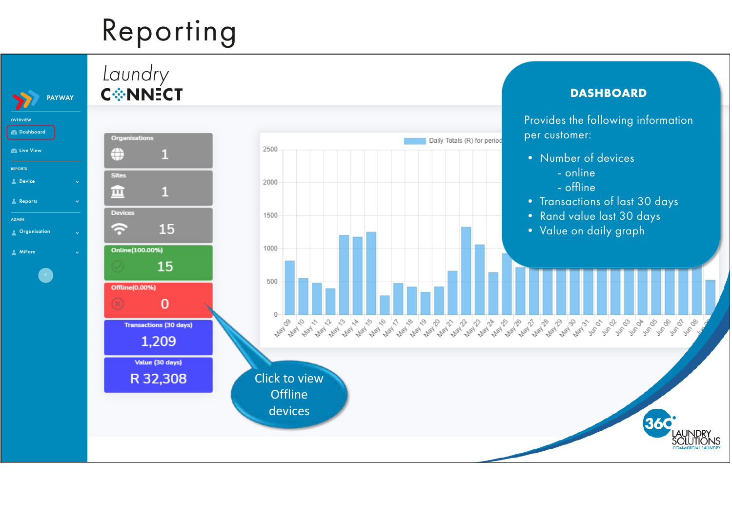## Reporting



## Laundry **C\*NNECT**



**Dashboard** 

**DASHBOARD**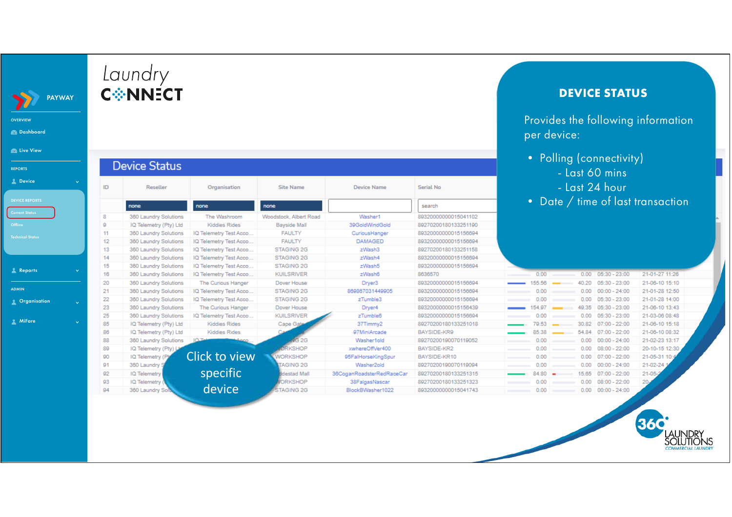|                | <b>C☆NNECT</b>                   |                        |                          |                                                              | <b>DEVICE STATUS</b> |                                                   |                                   |                 |  |  |
|----------------|----------------------------------|------------------------|--------------------------|--------------------------------------------------------------|----------------------|---------------------------------------------------|-----------------------------------|-----------------|--|--|
|                |                                  |                        |                          |                                                              |                      | Provides the following information<br>per device: |                                   |                 |  |  |
| ID             | <b>Device Status</b><br>Reseller | Organisation           | <b>Serial No</b>         | • Polling (connectivity)<br>- Last 60 mins<br>- Last 24 hour |                      |                                                   |                                   |                 |  |  |
|                | none                             | none                   | <b>Site Name</b><br>none | <b>Device Name</b>                                           | search               |                                                   | • Date / time of last transaction |                 |  |  |
| -8             | 360 Laundry Solutions            | The Washroom           | Woodstock, Albert Road   | Washer1                                                      | 89320000000015041102 |                                                   |                                   |                 |  |  |
| $\overline{9}$ | IQ Telemetry (Pty) Ltd           | <b>Kiddies Rides</b>   | <b>Bayside Mall</b>      | 39GoldWindGold                                               | 89270200180133251190 |                                                   |                                   |                 |  |  |
| 11             | 360 Laundry Solutions            | IQ Telemetry Test Acco | <b>FAULTY</b>            | CuriousHanger                                                | 89320000000015156694 |                                                   |                                   |                 |  |  |
| 12             | 360 Laundry Solutions            | IQ Telemetry Test Acco | <b>FAULTY</b>            | <b>DAMAGED</b>                                               | 89320000000015156694 |                                                   |                                   |                 |  |  |
| 13             | 360 Laundry Solutions            | IQ Telemetry Test Acco | STAGING 2G               | zWash3                                                       | 89270200180133251158 |                                                   |                                   |                 |  |  |
| 14             | 360 Laundry Solutions            | IQ Telemetry Test Acco | STAGING 2G               | zWash4                                                       | 89320000000015156694 |                                                   |                                   |                 |  |  |
| 15             | 360 Laundry Solutions            | IQ Telemetry Test Acco | STAGING 2G               | zWash5                                                       | 89320000000015156694 |                                                   |                                   |                 |  |  |
| 16             | 360 Laundry Solutions            | IQ Telemetry Test Acco | <b>KUILSRIVER</b>        | zWash6                                                       | 8636570              | 0.00                                              | $0.00$ $05:30 - 23:00$            | 21-01-27 11:26  |  |  |
| 20             | 360 Laundry Solutions            | The Curious Hanger     | Dover House              | Dryer3                                                       | 89320000000015156694 | 155.56                                            | 40.20 05:30 - 23:00               | 21-06-10 15:10  |  |  |
| 21             | 360 Laundry Solutions            | IQ Telemetry Test Acco | STAGING 2G               | 869867031449905                                              | 89320000000015156694 | 0.00                                              | 0.00<br>$00:00 - 24:00$           | 21-01-28 12:50  |  |  |
| 22             | 360 Laundry Solutions            | IQ Telemetry Test Acco | STAGING 2G               | zTumble3                                                     | 89320000000015156694 | 0.00                                              | 0.00<br>$05:30 - 23:00$           | 21-01-28 14:00  |  |  |
| 23             | 360 Laundry Solutions            | The Curious Hanger     | Dover House              | Dryer4                                                       | 89320000000015156439 | 154.97                                            | 49.35<br>$05:30 - 23:00$          | 21-06-10 13:43  |  |  |
| 25             | 360 Laundry Solutions            | IQ Telemetry Test Acco | <b>KUILSRIVER</b>        | zTumble6                                                     | 89320000000015156694 | 0.00                                              | $0.00$ 05:30 - 23:00              | 21-03-06 08:48  |  |  |
| 85             | IQ Telemetry (Pty) Ltd           | <b>Kiddies Rides</b>   | Cape Gate                | 37Timmy2                                                     | 89270200180133251018 | 79.53                                             | 30.82<br>$07:00 - 22:00$          | 21-06-10 15:18  |  |  |
| 86             | IQ Telemetry (Pty) Ltd           | Kiddies Rides          |                          | 97MiniArcade                                                 | BAYSIDE-KR9          | 85.38                                             | 54.84<br>$07:00 - 22:00$          | 21-06-10 08:32  |  |  |
| 88             | 360 Laundry Solutions            |                        | 2G                       | Washer1old                                                   | 89270200190070119052 | 0.00                                              | $00:00 - 24:00$<br>0.00           | 21-02-23 13:17  |  |  |
| 89             | IQ Telemetry (Pty) J             |                        | <b>RKSHOP</b>            | xwhereOffVer400                                              | BAYSIDE-KR2          | 0.00                                              | $08:00 - 22:00$<br>0.00           | 20-10-15 12:30  |  |  |
| 90             | IQ Telemetry (Pt                 | Click to view          | <b>VORKSHOP</b>          | 95FalHorseKingSpur                                           | BAYSIDE-KR10         | 0.00                                              | 0.00<br>$07:00 - 22:00$           | 21-05-31 10:    |  |  |
| 91             | 360 Laundry                      |                        | <b>TAGING 2G</b>         | Washer2old                                                   | 89270200190070119094 | 0.00                                              | $0.00$ 00:00 - 24:00              | 21-02-24        |  |  |
| 92             | IQ Telemetry                     | specific               | destad Mall              | 36CoganRoadsterRedRaceCar                                    | 89270200180133251315 | $84.80 =$                                         | 15.65<br>$07:00 - 22:00$          | $21-05$         |  |  |
| 93             | IQ Telemetry                     |                        | <b>DRKSHOP</b>           | 38FalgasNascar                                               | 89270200180133251323 | 0.00                                              | 0.00<br>$08:00 - 22:00$           | 20 <sub>2</sub> |  |  |
|                |                                  | device                 |                          |                                                              |                      |                                                   |                                   |                 |  |  |

**360** 

ilus

OVERVIEW Dashboard

 $\sum$ 

**B** Live View

**A** Reports

**A** MiFare

ADMIN **Construction** 

REPORTS **2** Device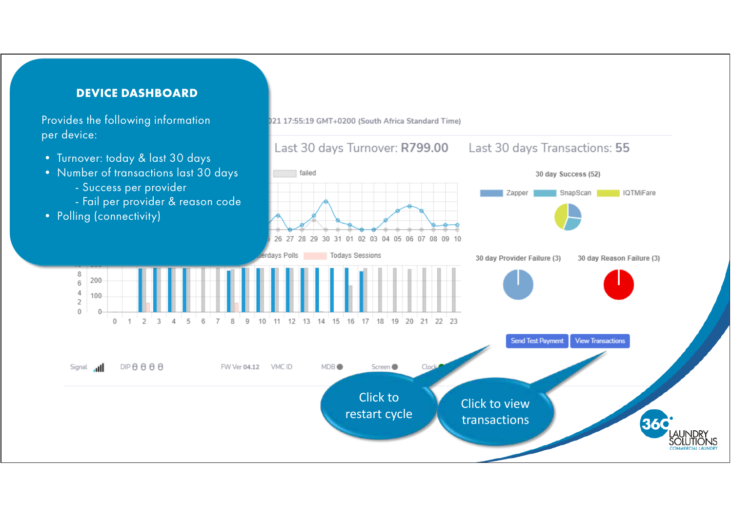

**Device Dashboard DEVICE DASHBOARD**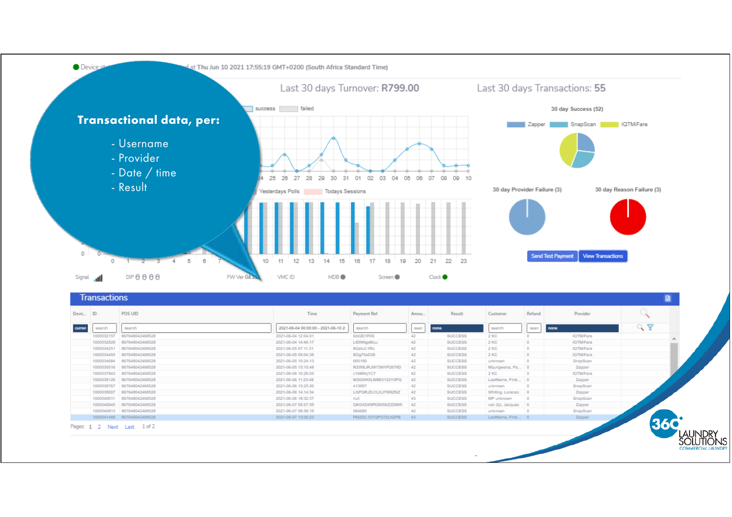![](_page_3_Figure_0.jpeg)

| Devic ID      |            | POS UID                     | Time                               | Payment Ref        | Amou | Result         | Customer             | Refund   | Provider        |    |
|---------------|------------|-----------------------------|------------------------------------|--------------------|------|----------------|----------------------|----------|-----------------|----|
| <b>Curren</b> | search     | search                      | 2021-06-04 00:00:00 - 2021-06-10 2 | search             | sean | nane           | search               | sean     | none            | 98 |
|               | 1000532157 | 867648042468528             | 2021-05-04 12:04:01                | 6ibQD1FDS          | 42   | <b>SUCCESS</b> | 2 KC                 |          | IQTMiFare       |    |
|               | 1000532828 | 867648042468528             | 2021-05-04 14:46:17                | LtDNNgxMuu         | 42   | <b>SUCCESS</b> | $2$ KC               | $\Box$   | <b>IQTMFare</b> |    |
|               | 1000534251 | 867648042468528             | 2021-05-05 07:11:31                | 8QzluC1Ro          | 42   | SUCCESS        | 2 KC                 | $\circ$  | <b>IQTMFare</b> |    |
|               | 1000534455 | 867648042468528             | 2021-06-05 09:04:38                | EDg75sD38          | 42   | SUCCESS        | $2$ KC               | $\circ$  | <b>IQTMFare</b> |    |
|               | 1000534684 | 867648042468528             | 2021-05-05 10:24:13                | 005190             | 42   | <b>SUCCESS</b> | unknown              | $\circ$  | SnapScan        |    |
|               | 1000535516 | 867648042468528             | 2021-05-05 13:15:48                | RZWEJRJW73NYP2679D | 42   | <b>SUCCESS</b> | Mqungwana, Pa 0      |          | Zapper          |    |
|               | 1000537843 | 867648042468528             | 2021-05-06 10:26:55                | c16M9qYC7          | 42   | <b>SUCCESS</b> | $2$ KC               | <b>D</b> | IQTMiFare       |    |
|               | 1000538126 | 867648042468528             | 2021-05-06 11:23:48                | M3GWK0LM8E5132Y0PQ | 42   | SUCCESS        | LastName, First 0    |          | Zapper          |    |
|               | 1000538767 | 867648042468528             | 2021-05-06 13:25:30                | 413907             | 42   | <b>SUCCESS</b> | unknown              | <b>D</b> | SnapScan        |    |
|               | 1000539007 | 867648042468528             | 2021-05-06 14:14:34                | LGPQRJDJ1LKJ7WEZNZ | 42   | <b>SUCCESS</b> | Whiting, Lorenzo 0   |          | Zapper          |    |
|               | 1000540011 | 867648042468528             | 2021-05-06 18:32:37                | null               | 43   | SUCCESS        | MP unknown           | $\Box$   | SnapScan        |    |
|               |            | 1000540645 867648042468528  | 2021-05-07 05:57:59                | QKGXD69PD8556Z2DMW | 42   | <b>SUCCESS</b> | van Zyl, Jacques   0 |          | Zapper          |    |
|               |            | 1000540813 857648042468528  | 2021-05-07 08:36:19                | 064680             | 42   | <b>SUCCESS</b> | unknown              | o        | SnapScan        |    |
|               |            | 1000541488  867648042468528 | 2021-06-07 13:00:23                | PMZDL1D7QPV72LNZPE | 42   | <b>SUCCESS</b> | LastName, First 0    |          | Zapper          |    |